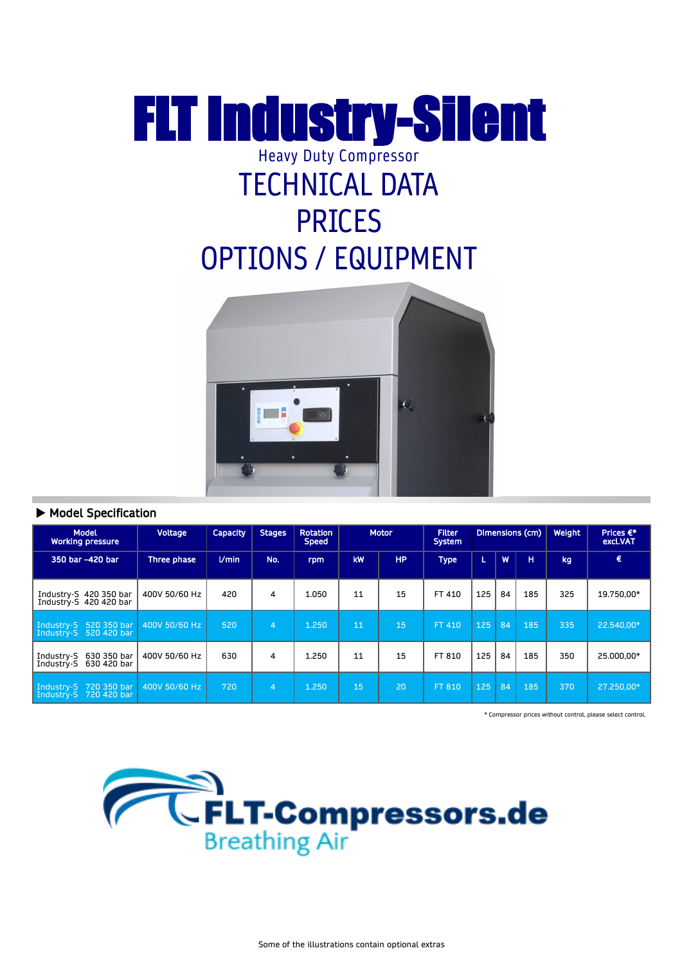## FLT Industry-Silent Heavy Duty Compressor TECHNICAL DATA PRICES OPTIONS / EQUIPMENT



## Model Specification

| <b>Model</b><br><b>Working pressure</b>                | Voltage       | <b>Capacity</b> | <b>Stages</b> | <b>Rotation</b><br><b>Speed</b> |    | <b>Motor</b> | <b>Filter</b><br><b>System</b> |     |    | Dimensions (cm) | Weight | Prices $\epsilon^*$<br>excl.VAT |
|--------------------------------------------------------|---------------|-----------------|---------------|---------------------------------|----|--------------|--------------------------------|-----|----|-----------------|--------|---------------------------------|
| 350 bar -420 bar                                       | Three phase   | $U$ min         | No.           | rpm                             | kW | <b>HP</b>    | <b>Type</b>                    | Œ   | W  | н               | kg     | €                               |
| Industry-S 420 350 bar<br>Industry-S 420 420 bar       | 400V 50/60 Hz | 420             | 4             | 1.050                           | 11 | 15           | FT 410                         | 125 | 84 | 185             | 325    | 19.750.00*                      |
| Industry-S 520 350 bar<br>Industry-S 520 420 bar       | 400V 50/60 Hz | 520             | 4             | 1.250                           | 11 | 15           | FT 410                         | 125 | 84 | 185             | 335    | 22.540.00*                      |
| 630 350 bar<br>Industry-S<br>630 420 bar<br>Industry-S | 400V 50/60 Hz | 630             | 4             | 1.250                           | 11 | 15           | FT 810                         | 125 | 84 | 185             | 350    | 25.000.00*                      |
| Industry-S 720 350 bar<br>Industry-S 720 420 bar       | 400V 50/60 Hz | 720             | 4             | 1.250                           | 15 | 20           | FT 810                         | 125 | 84 | 185             | 370    | 27.250.00*                      |

\* Compressor prices without control, please select control.